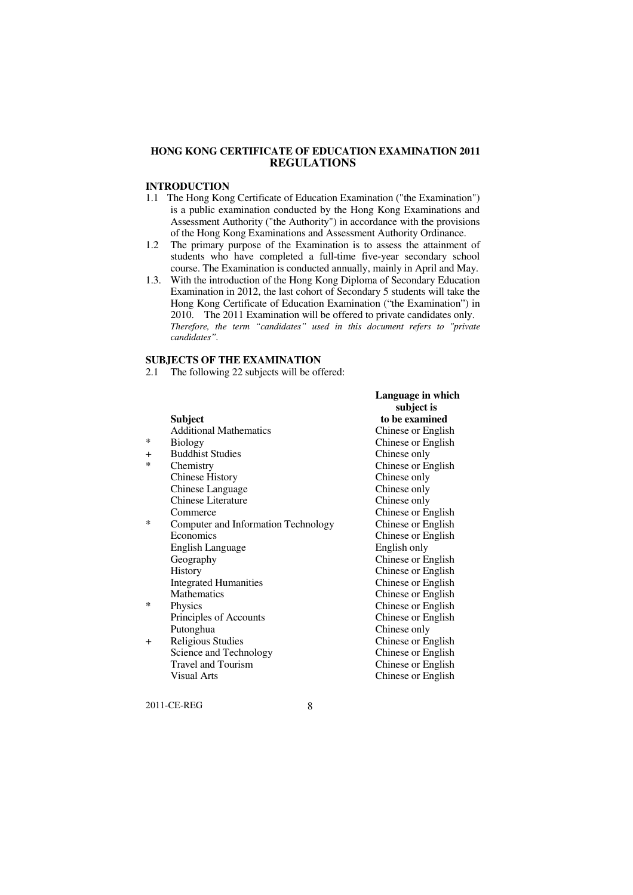## **HONG KONG CERTIFICATE OF EDUCATION EXAMINATION 2011 REGULATIONS**

# **INTRODUCTION**

- 1.1 The Hong Kong Certificate of Education Examination ("the Examination") is a public examination conducted by the Hong Kong Examinations and Assessment Authority ("the Authority") in accordance with the provisions of the Hong Kong Examinations and Assessment Authority Ordinance.
- $1.2$  students who have completed a full-time five-year secondary school course. The Examination is conducted annually, mainly in April and May. The primary purpose of the Examination is to assess the attainment of
- 1.3. With the introduction of the Hong Kong Diploma of Secondary Education Examination in 2012, the last cohort of Secondary 5 students will take the Hong Kong Certificate of Education Examination ("the Examination") in 2010. The 2011 Examination will be offered to private candidates only.  *Therefore, the term "candidates" used in this document refers to "private candidates".*

**Language in which** 

#### **SUBJECTS OF THE EXAMINATION**

2.1 The following 22 subjects will be offered:

|                               | subject is                                                                                                               |
|-------------------------------|--------------------------------------------------------------------------------------------------------------------------|
| Subject                       | to be examined                                                                                                           |
| <b>Additional Mathematics</b> | Chinese or English                                                                                                       |
| <b>Biology</b>                | Chinese or English                                                                                                       |
| <b>Buddhist Studies</b>       | Chinese only                                                                                                             |
|                               | Chinese or English                                                                                                       |
|                               | Chinese only                                                                                                             |
| Chinese Language              | Chinese only                                                                                                             |
| <b>Chinese Literature</b>     | Chinese only                                                                                                             |
| Commerce                      | Chinese or English                                                                                                       |
|                               | Chinese or English                                                                                                       |
| Economics                     | Chinese or English                                                                                                       |
|                               | English only                                                                                                             |
| Geography                     | Chinese or English                                                                                                       |
| History                       | Chinese or English                                                                                                       |
| <b>Integrated Humanities</b>  | Chinese or English                                                                                                       |
| <b>Mathematics</b>            | Chinese or English                                                                                                       |
| Physics                       | Chinese or English                                                                                                       |
|                               | Chinese or English                                                                                                       |
| Putonghua                     | Chinese only                                                                                                             |
| Religious Studies             | Chinese or English                                                                                                       |
| Science and Technology        | Chinese or English                                                                                                       |
| <b>Travel and Tourism</b>     | Chinese or English                                                                                                       |
| Visual Arts                   | Chinese or English                                                                                                       |
|                               | Chemistry<br><b>Chinese History</b><br>Computer and Information Technology<br>English Language<br>Principles of Accounts |

2011-CE-REG

8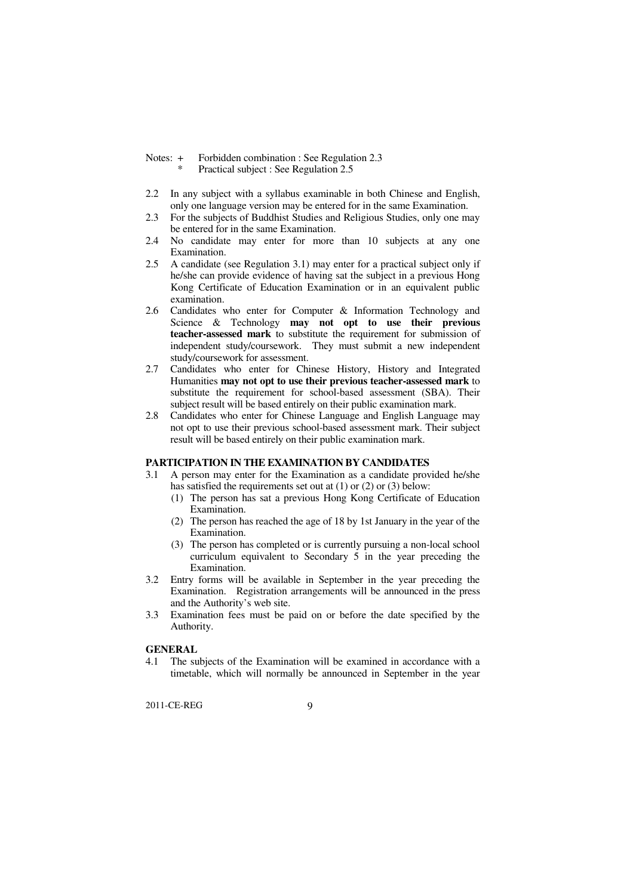- Notes:  $+$ Forbidden combination : See Regulation 2.3 Practical subject : See Regulation 2.5
- 2.2 In any subject with a syllabus examinable in both Chinese and English, only one language version may be entered for in the same Examination.
- 2.3 For the subjects of Buddhist Studies and Religious Studies, only one may be entered for in the same Examination.
- 2.4 No candidate may enter for more than 10 subjects at any one Examination.
- $2.5^{\circ}$  he/she can provide evidence of having sat the subject in a previous Hong Kong Certificate of Education Examination or in an equivalent public A candidate (see Regulation 3.1) may enter for a practical subject only if examination.
- 2.6 Candidates who enter for Computer & Information Technology and Science & Technology **may not opt to use their previous teacher-assessed mark** to substitute the requirement for submission of independent study/coursework. They must submit a new independent study/coursework for assessment.
- 2.7 Candidates who enter for Chinese History, History and Integrated  Humanities **may not opt to use their previous teacher-assessed mark** to substitute the requirement for school-based assessment (SBA). Their subject result will be based entirely on their public examination mark.
- 2.8 Candidates who enter for Chinese Language and English Language may not opt to use their previous school-based assessment mark. Their subject result will be based entirely on their public examination mark.

#### **PARTICIPATION IN THE EXAMINATION BY CANDIDATES**

- $3.1$  has satisfied the requirements set out at (1) or (2) or (3) below: A person may enter for the Examination as a candidate provided he/she
	- (1) The person has sat a previous Hong Kong Certificate of Education Examination.
	- (2) The person has reached the age of 18 by 1st January in the year of the Examination.
	- (3) The person has completed or is currently pursuing a non-local school curriculum equivalent to Secondary 5 in the year preceding the Examination.
- 3.2 Entry forms will be available in September in the year preceding the Examination. Registration arrangements will be announced in the press and the Authority's web site.
- 3.3 Examination fees must be paid on or before the date specified by the Authority.

#### **GENERAL**

 $41$  timetable, which will normally be announced in September in the year The subjects of the Examination will be examined in accordance with a

2011-CE-REG

 $\mathbf{Q}$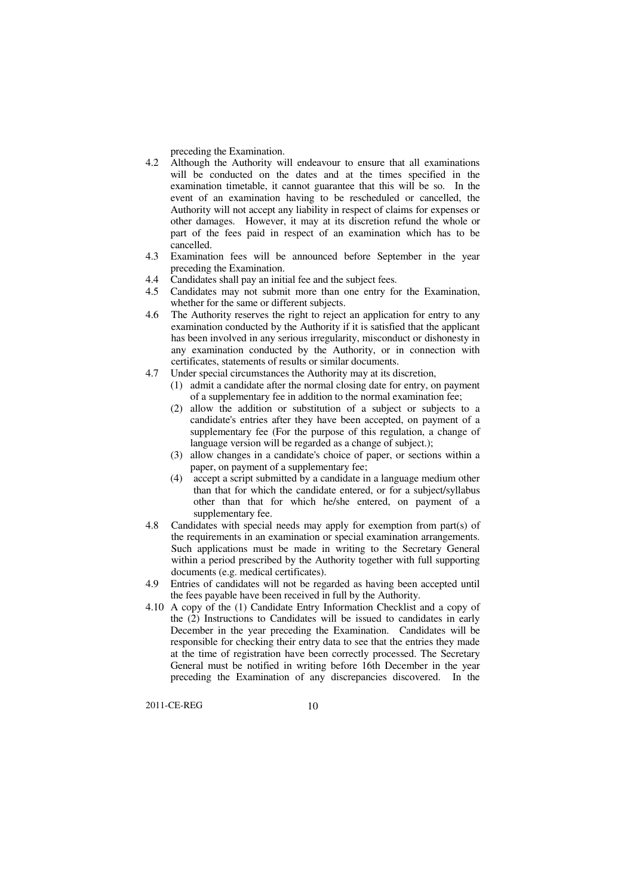preceding the Examination.

- 4.2 Although the Authority will endeavour to ensure that all examinations will be conducted on the dates and at the times specified in the examination timetable, it cannot guarantee that this will be so. In the event of an examination having to be rescheduled or cancelled, the Authority will not accept any liability in respect of claims for expenses or other damages. However, it may at its discretion refund the whole or part of the fees paid in respect of an examination which has to be cancelled.
- 4.3 Examination fees will be announced before September in the year preceding the Examination.
- 4.4 Candidates shall pay an initial fee and the subject fees.
- whether for the same or different subjects. 4.5 Candidates may not submit more than one entry for the Examination,
- $4.6$  examination conducted by the Authority if it is satisfied that the applicant has been involved in any serious irregularity, misconduct or dishonesty in any examination conducted by the Authority, or in connection with certificates, statements of results or similar documents. The Authority reserves the right to reject an application for entry to any
- 4.7 Under special circumstances the Authority may at its discretion,
	- of a supplementary fee in addition to the normal examination fee; (1) admit a candidate after the normal closing date for entry, on payment
	- candidate's entries after they have been accepted, on payment of a supplementary fee (For the purpose of this regulation, a change of language version will be regarded as a change of subject.); (2) allow the addition or substitution of a subject or subjects to a
	- paper, on payment of a supplementary fee; (3) allow changes in a candidate's choice of paper, or sections within a
	- (4) accept a script submitted by a candidate in a language medium other than that for which the candidate entered, or for a subject/syllabus other than that for which he/she entered, on payment of a supplementary fee.
- 4.8 the requirements in an examination or special examination arrangements. Such applications must be made in writing to the Secretary General within a period prescribed by the Authority together with full supporting documents (e.g. medical certificates). Candidates with special needs may apply for exemption from part(s) of
- 4.9 the fees payable have been received in full by the Authority. Entries of candidates will not be regarded as having been accepted until
- 4.10 A copy of the (1) Candidate Entry Information Checklist and a copy of the (2) Instructions to Candidates will be issued to candidates in early December in the year preceding the Examination. Candidates will be responsible for checking their entry data to see that the entries they made at the time of registration have been correctly processed. The Secretary General must be notified in writing before 16th December in the year preceding the Examination of any discrepancies discovered. In the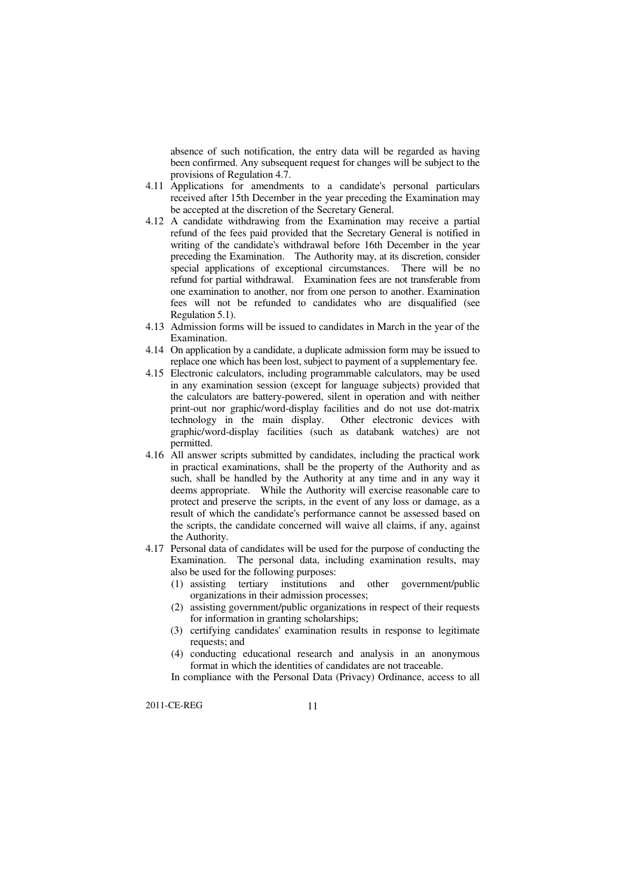absence of such notification, the entry data will be regarded as having been confirmed. Any subsequent request for changes will be subject to the provisions of Regulation 4.7.

- 4.11 Applications for amendments to a candidate's personal particulars received after 15th December in the year preceding the Examination may be accepted at the discretion of the Secretary General.
- 4.12 A candidate withdrawing from the Examination may receive a partial refund of the fees paid provided that the Secretary General is notified in writing of the candidate's withdrawal before 16th December in the year preceding the Examination. The Authority may, at its discretion, consider special applications of exceptional circumstances. There will be no refund for partial withdrawal. Examination fees are not transferable from one examination to another, nor from one person to another. Examination fees will not be refunded to candidates who are disqualified (see Regulation 5.1).
- 4.13 Admission forms will be issued to candidates in March in the year of the Examination.
- 4.14 On application by a candidate, a duplicate admission form may be issued to replace one which has been lost, subject to payment of a supplementary fee.
- 4.15 Electronic calculators, including programmable calculators, may be used in any examination session (except for language subjects) provided that the calculators are battery-powered, silent in operation and with neither print-out nor graphic/word-display facilities and do not use dot-matrix technology in the main display. Other electronic devices with graphic/word-display facilities (such as databank watches) are not permitted.
- 4.16 All answer scripts submitted by candidates, including the practical work in practical examinations, shall be the property of the Authority and as such, shall be handled by the Authority at any time and in any way it deems appropriate. While the Authority will exercise reasonable care to protect and preserve the scripts, in the event of any loss or damage, as a result of which the candidate's performance cannot be assessed based on the scripts, the candidate concerned will waive all claims, if any, against the Authority.
- 4.17 Personal data of candidates will be used for the purpose of conducting the Examination. The personal data, including examination results, may also be used for the following purposes:
	- organizations in their admission processes; (1) assisting tertiary institutions and other government/public
	- for information in granting scholarships; (2) assisting government/public organizations in respect of their requests
	- requests; and (3) certifying candidates' examination results in response to legitimate
	- (4) conducting educational research and analysis in an anonymous format in which the identities of candidates are not traceable.

In compliance with the Personal Data (Privacy) Ordinance, access to all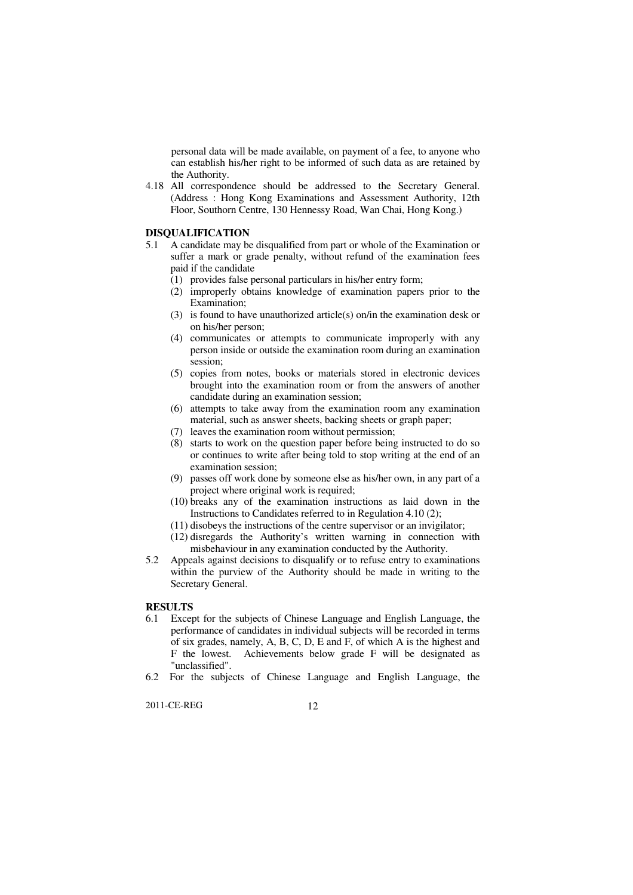personal data will be made available, on payment of a fee, to anyone who can establish his/her right to be informed of such data as are retained by the Authority.

 4.18 All correspondence should be addressed to the Secretary General. (Address : Hong Kong Examinations and Assessment Authority, 12th Floor, Southorn Centre, 130 Hennessy Road, Wan Chai, Hong Kong.)

# **DISQUALIFICATION**

- $51$  suffer a mark or grade penalty, without refund of the examination fees paid if the candidate 5.1 A candidate may be disqualified from part or whole of the Examination or
	- (1) provides false personal particulars in his/her entry form;
	- (2) improperly obtains knowledge of examination papers prior to the Examination;
	- on his/her person; (3) is found to have unauthorized article(s) on/in the examination desk or
	- person inside or outside the examination room during an examination (4) communicates or attempts to communicate improperly with any session;
	- brought into the examination room or from the answers of another candidate during an examination session; (5) copies from notes, books or materials stored in electronic devices
	- material, such as answer sheets, backing sheets or graph paper; (6) attempts to take away from the examination room any examination
	- (7) leaves the examination room without permission;
	- or continues to write after being told to stop writing at the end of an examination session; (8) starts to work on the question paper before being instructed to do so
	- project where original work is required; (9) passes off work done by someone else as his/her own, in any part of a
	- Instructions to Candidates referred to in Regulation 4.10 (2);  $(10)$  breaks any of the examination instructions as laid down in the
	- (11) disobeys the instructions of the centre supervisor or an invigilator;
	- misbehaviour in any examination conducted by the Authority. (12) disregards the Authority's written warning in connection with
- 5.2 within the purview of the Authority should be made in writing to the Secretary General. Appeals against decisions to disqualify or to refuse entry to examinations

## **RESULTS**

- 6.1 Except for the subjects of Chinese Language and English Language, the performance of candidates in individual subjects will be recorded in terms of six grades, namely, A, B, C, D, E and F, of which A is the highest and F the lowest. Achievements below grade F will be designated as "unclassified".
- 6.2 For the subjects of Chinese Language and English Language, the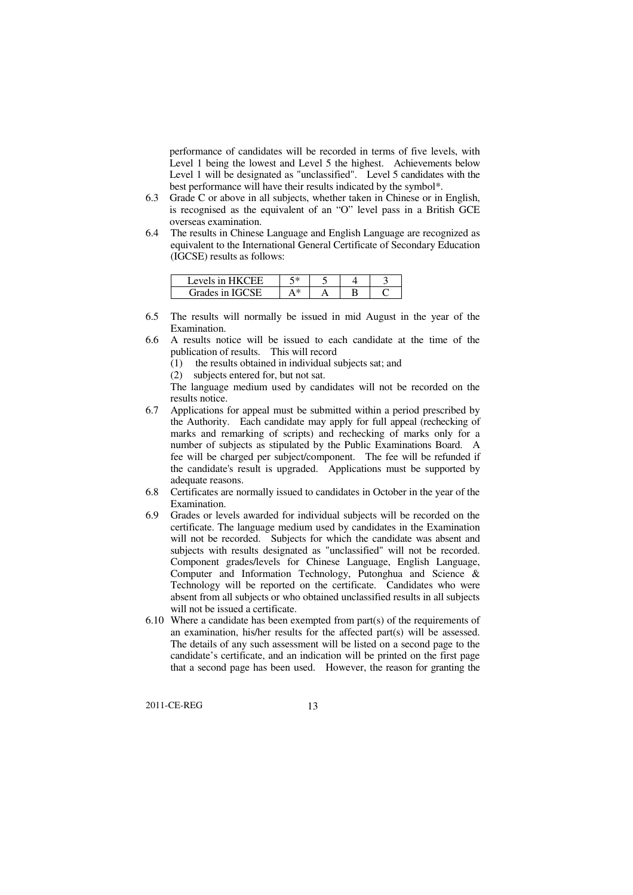performance of candidates will be recorded in terms of five levels, with Level 1 being the lowest and Level 5 the highest. Achievements below Level 1 will be designated as "unclassified". Level 5 candidates with the best performance will have their results indicated by the symbol\*.

- 6.3 Grade C or above in all subjects, whether taken in Chinese or in English, is recognised as the equivalent of an "O" level pass in a British GCE overseas examination.
- 6.4 equivalent to the International General Certificate of Secondary Education (IGCSE) results as follows: The results in Chinese Language and English Language are recognized as

| <b>PVPIS 10</b>   | 5*                   |  |  |
|-------------------|----------------------|--|--|
| Grades in<br>הכרפ | Abr<br>$\mathcal{L}$ |  |  |

- 6.5 The results will normally be issued in mid August in the year of the Examination.
- publication of results. This will record 6.6 A results notice will be issued to each candidate at the time of the
	- (1) the results obtained in individual subjects sat; and
	- (2) subjects entered for, but not sat.
	- The language medium used by candidates will not be recorded on the results notice.
- 6.7 Applications for appeal must be submitted within a period prescribed by the Authority. Each candidate may apply for full appeal (rechecking of marks and remarking of scripts) and rechecking of marks only for a number of subjects as stipulated by the Public Examinations Board. A fee will be charged per subject/component. The fee will be refunded if the candidate's result is upgraded. Applications must be supported by adequate reasons.
- 6.8 Certificates are normally issued to candidates in October in the year of the Examination.
- 6.9 certificate. The language medium used by candidates in the Examination will not be recorded. Subjects for which the candidate was absent and subjects with results designated as "unclassified" will not be recorded. Component grades/levels for Chinese Language, English Language, Computer and Information Technology, Putonghua and Science & Technology will be reported on the certificate. Candidates who were absent from all subjects or who obtained unclassified results in all subjects will not be issued a certificate. Grades or levels awarded for individual subjects will be recorded on the
- $6.10$  Where a candidate has been exempted from part(s) of the requirements of an examination, his/her results for the affected part(s) will be assessed. The details of any such assessment will be listed on a second page to the candidate's certificate, and an indication will be printed on the first page that a second page has been used. However, the reason for granting the